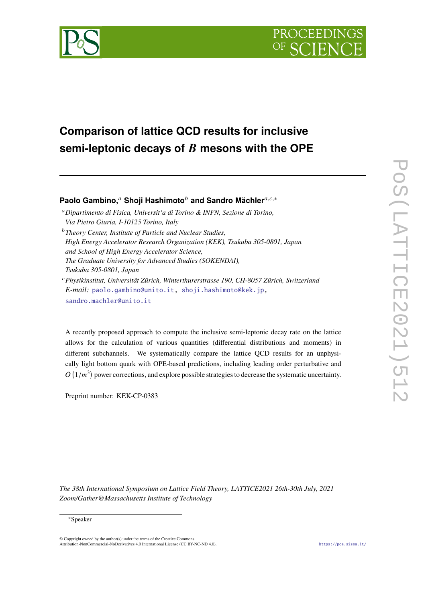



# **Comparison of lattice QCD results for inclusive semi-leptonic decays of mesons with the OPE**

# **Paolo Gambino.**<sup>*a*</sup> Shoii Hashimoto<sup>*b*</sup> and Sandro Mächler<sup>*a,c,*∗</sup></sub>

*Dipartimento di Fisica, Universit'a di Torino & INFN, Sezione di Torino, Via Pietro Giuria, I-10125 Torino, Italy Theory Center, Institute of Particle and Nuclear Studies, High Energy Accelerator Research Organization (KEK), Tsukuba 305-0801, Japan and School of High Energy Accelerator Science, The Graduate University for Advanced Studies (SOKENDAI), Tsukuba 305-0801, Japan*

*Physikinstitut, Universität Zürich, Winterthurerstrasse 190, CH-8057 Zürich, Switzerland E-mail:* [paolo.gambino@unito.it,](mailto:paolo.gambino@unito.it) [shoji.hashimoto@kek.jp,](mailto:shoji.hashimoto@kek.jp) [sandro.machler@unito.it](mailto:sandro.machler@unito.it)

A recently proposed approach to compute the inclusive semi-leptonic decay rate on the lattice allows for the calculation of various quantities (differential distributions and moments) in different subchannels. We systematically compare the lattice QCD results for an unphysically light bottom quark with OPE-based predictions, including leading order perturbative and  $O(1/m^3)$  power corrections, and explore possible strategies to decrease the systematic uncertainty.

Preprint number: KEK-CP-0383

*The 38th International Symposium on Lattice Field Theory, LATTICE2021 26th-30th July, 2021 Zoom/Gather@Massachusetts Institute of Technology*

#### <sup>∗</sup>Speaker

© Copyright owned by the author(s) under the terms of the Creative Commons Attribution-NonCommercial-NoDerivatives 4.0 International License (CC BY-NC-ND 4.0). <https://pos.sissa.it/>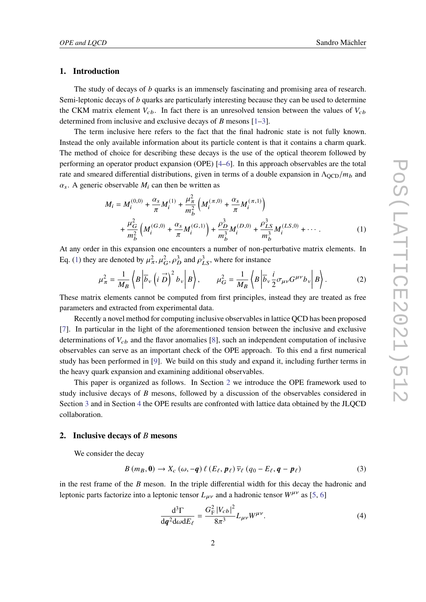#### **1. Introduction**

The study of decays of *b* quarks is an immensely fascinating and promising area of research. Semi-leptonic decays of  $b$  quarks are particularly interesting because they can be used to determine the CKM matrix element  $V_{cb}$ . In fact there is an unresolved tension between the values of  $V_{cb}$ determined from inclusive and exclusive decays of  $B$  mesons  $[1-3]$  $[1-3]$ .

The term inclusive here refers to the fact that the final hadronic state is not fully known. Instead the only available information about its particle content is that it contains a charm quark. The method of choice for describing these decays is the use of the optical theorem followed by performing an operator product expansion (OPE) [\[4–](#page-7-2)[6\]](#page-7-3). In this approach observables are the total rate and smeared differential distributions, given in terms of a double expansion in  $\Lambda_{\text{QCD}}/m_b$  and  $\alpha_s$ . A generic observable  $M_i$  can then be written as

<span id="page-1-0"></span>
$$
M_{i} = M_{i}^{(0,0)} + \frac{\alpha_{s}}{\pi} M_{i}^{(1)} + \frac{\mu_{\pi}^{2}}{m_{b}^{2}} \left( M_{i}^{(\pi,0)} + \frac{\alpha_{s}}{\pi} M_{i}^{(\pi,1)} \right)
$$
  
+ 
$$
\frac{\mu_{G}^{2}}{m_{b}^{2}} \left( M_{i}^{(G,0)} + \frac{\alpha_{s}}{\pi} M_{i}^{(G,1)} \right) + \frac{\rho_{D}^{3}}{m_{b}^{3}} M_{i}^{(D,0)} + \frac{\rho_{LS}^{3}}{m_{b}^{3}} M_{i}^{(LS,0)} + \cdots
$$
 (1)

At any order in this expansion one encounters a number of non-perturbative matrix elements. In Eq. [\(1\)](#page-1-0) they are denoted by  $\mu^2_\pi$ ,  $\mu^2_G$ ,  $\rho^3_D$  and  $\rho^3_{LS}$ , where for instance

$$
\mu_{\pi}^{2} = \frac{1}{M_{B}} \left\langle B \left| \overline{b}_{\nu} \left( i \overrightarrow{D} \right)^{2} b_{\nu} \right| B \right\rangle, \qquad \mu_{G}^{2} = \frac{1}{M_{B}} \left\langle B \left| \overline{b}_{\nu} \frac{i}{2} \sigma_{\mu \nu} G^{\mu \nu} b_{\nu} \right| B \right\rangle. \tag{2}
$$

These matrix elements cannot be computed from first principles, instead they are treated as free parameters and extracted from experimental data.

Recently a novel method for computing inclusive observables in lattice QCD has been proposed [\[7\]](#page-7-4). In particular in the light of the aforementioned tension between the inclusive and exclusive determinations of  $V_{cb}$  and the flavor anomalies [\[8\]](#page-7-5), such an independent computation of inclusive observables can serve as an important check of the OPE approach. To this end a first numerical study has been performed in [\[9\]](#page-7-6). We build on this study and expand it, including further terms in the heavy quark expansion and examining additional observables.

This paper is organized as follows. In Section [2](#page-1-1) we introduce the OPE framework used to study inclusive decays of  $\hat{B}$  mesons, followed by a discussion of the observables considered in Section [3](#page-2-0) and in Section [4](#page-3-0) the OPE results are confronted with lattice data obtained by the JLQCD collaboration.

#### <span id="page-1-1"></span>**2.** Inclusive decays of *B* mesons

We consider the decay

$$
B(m_B, 0) \to X_c(\omega, -q) \ell(E_\ell, p_\ell) \overline{\nu}_\ell (q_0 - E_\ell, q - p_\ell)
$$
 (3)

in the rest frame of the  $B$  meson. In the triple differential width for this decay the hadronic and leptonic parts factorize into a leptonic tensor  $L_{\mu\nu}$  and a hadronic tensor  $W^{\mu\nu}$  as [\[5,](#page-7-7) [6\]](#page-7-3)

$$
\frac{\mathrm{d}^3 \Gamma}{\mathrm{d}q^2 \mathrm{d}\omega \mathrm{d}E_\ell} = \frac{G_{\mathrm{F}}^2 |V_{cb}|^2}{8\pi^3} L_{\mu\nu} W^{\mu\nu}.\tag{4}
$$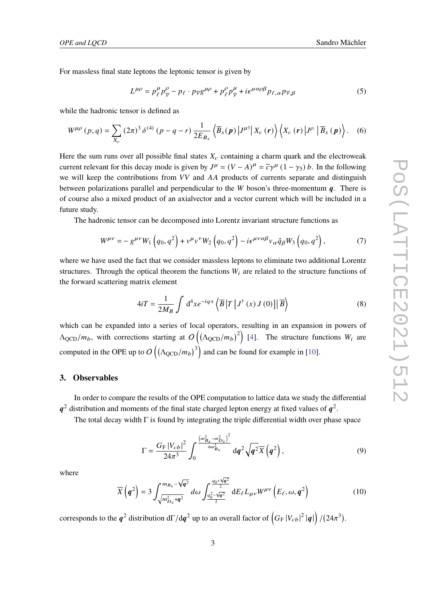For massless final state leptons the leptonic tensor is given by

$$
L^{\mu\rho} = p_{\ell}^{\mu} p_{\overline{\nu}}^{\rho} - p_{\ell} \cdot p_{\overline{\nu}} g^{\mu\rho} + p_{\ell}^{\rho} p_{\overline{\nu}}^{\mu} + i \epsilon^{\mu \alpha \rho \beta} p_{\ell, \alpha} p_{\overline{\nu}, \beta}
$$
(5)

while the hadronic tensor is defined as

$$
W^{\mu\rho}\left(p,q\right) = \sum_{X_c} \left(2\pi\right)^3 \delta^{(4)}\left(p-q-r\right) \frac{1}{2E_{B_s}} \left\langle \overline{B}_s(p) \left|J^{\mu\dagger}\right| X_c\left(r\right) \right\rangle \left\langle X_c\left(r\right) \left|J^{\rho}\right| \overline{B}_s\left(p\right) \right\rangle. \tag{6}
$$

Here the sum runs over all possible final states  $X_c$  containing a charm quark and the electroweak current relevant for this decay mode is given by  $J^{\mu} = (V - A)^{\mu} = \overline{c}\gamma^{\mu} (1 - \gamma_5) b$ . In the following we will keep the contributions from  $VV$  and  $AA$  products of currents separate and distinguish between polarizations parallel and perpendicular to the  $W$  boson's three-momentum  $q$ . There is of course also a mixed product of an axialvector and a vector current which will be included in a future study.

The hadronic tensor can be decomposed into Lorentz invariant structure functions as

$$
W^{\mu\nu} = -g^{\mu\nu}W_1\left(q_0, q^2\right) + v^{\mu}v^{\nu}W_2\left(q_0, q^2\right) - i\epsilon^{\mu\nu\alpha\beta}v_{\alpha}\hat{q}_{\beta}W_3\left(q_0, q^2\right),\tag{7}
$$

where we have used the fact that we consider massless leptons to eliminate two additional Lorentz structures. Through the optical theorem the functions  $W_i$  are related to the structure functions of the forward scattering matrix element

$$
4iT = \frac{1}{2M_B} \int d^4x e^{-iqx} \left\langle \overline{B} \left| T \left[ J^\dagger \left( x \right) J \left( 0 \right) \right] \right| \overline{B} \right\rangle \tag{8}
$$

which can be expanded into a series of local operators, resulting in an expansion in powers of  $\Lambda_{\rm QCD}/m_b$ , with corrections starting at  $O((\Lambda_{\rm QCD}/m_b)^2)$  [\[4\]](#page-7-2). The structure functions  $W_i$  are computed in the OPE up to  $O((\Lambda_{QCD}/m_b)^3)$  and can be found for example in [\[10\]](#page-7-8).

### <span id="page-2-0"></span>**3. Observables**

In order to compare the results of the OPE computation to lattice data we study the differential  $q^2$  distribution and moments of the final state charged lepton energy at fixed values of  $q^2$ .

The total decay width Γ is found by integrating the triple differential width over phase space

$$
\Gamma = \frac{G_{\rm F} |V_{cb}|^2}{24\pi^3} \int_0^{\frac{(m_{B_s}^2 - m_{D_s}^2)^2}{4m_{B_s}^2}} d\bm{q}^2 \sqrt{\bm{q}^2} \overline{X} \left(\bm{q}^2\right),\tag{9}
$$

where

$$
\overline{X}\left(q^2\right) = 3 \int_{\sqrt{m_{D_s}^2 + q^2}}^{m_{B_s} - \sqrt{q^2}} d\omega \int_{\frac{q_0^2 - \sqrt{q^2}}{2}}^{\frac{q_0 + \sqrt{q^2}}{2}} dE_{\ell} L_{\mu\nu} W^{\mu\nu}\left(E_{\ell}, \omega, q^2\right)
$$
(10)

corresponds to the  $q^2$  distribution d $\Gamma/{\rm d} q^2$  up to an overall factor of  $\left(G_{\rm F}\left|V_{cb}\right|^2\left|q\right|\right)/(24\pi^3)$ .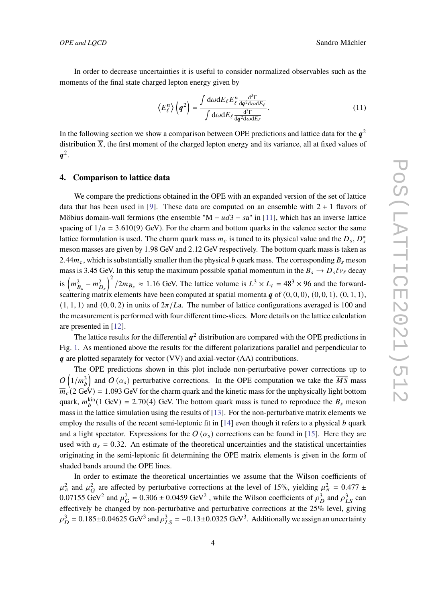In order to decrease uncertainties it is useful to consider normalized observables such as the moments of the final state charged lepton energy given by

<span id="page-3-1"></span>
$$
\left\langle E_{\ell}^{n}\right\rangle \left(\boldsymbol{q}^{2}\right) = \frac{\int d\omega dE_{\ell} E_{\ell}^{n} \frac{d^{3}\Gamma}{dq^{2}d\omega dE_{\ell}}}{\int d\omega dE_{\ell} \frac{d^{3}\Gamma}{dq^{2}d\omega dE_{\ell}}}.
$$
\n(11)

In the following section we show a comparison between OPE predictions and lattice data for the  $q^2$ distribution  $\overline{X}$ , the first moment of the charged lepton energy and its variance, all at fixed values of  $q^2$ .

#### <span id="page-3-0"></span>**4. Comparison to lattice data**

We compare the predictions obtained in the OPE with an expanded version of the set of lattice data that has been used in [\[9\]](#page-7-6). These data are computed on an ensemble with  $2 + 1$  flavors of Möbius domain-wall fermions (the ensemble "M –  $ud3 - sa$ " in [\[11\]](#page-7-9), which has an inverse lattice spacing of  $1/a = 3.610(9)$  GeV). For the charm and bottom quarks in the valence sector the same lattice formulation is used. The charm quark mass  $m_c$  is tuned to its physical value and the  $D_s$ ,  $D_s^*$ meson masses are given by 1.98 GeV and 2.12 GeV respectively. The bottom quark mass is taken as 2.44 $m_c$ , which is substantially smaller than the physical b quark mass. The corresponding  $B_s$  meson mass is 3.45 GeV. In this setup the maximum possible spatial momentum in the  $B_s \to D_s \ell v_\ell$  decay is  $\left(m_{B_s}^2 - m_{D_s}^2\right)^2/2m_{B_s} \approx 1.16$  GeV. The lattice volume is  $L^3 \times L_t = 48^3 \times 96$  and the forwardscattering matrix elements have been computed at spatial momenta  $q$  of  $(0, 0, 0)$ ,  $(0, 0, 1)$ ,  $(0, 1, 1)$ ,  $(1, 1, 1)$  and  $(0, 0, 2)$  in units of  $2\pi/L$ a. The number of lattice configurations averaged is 100 and the measurement is performed with four different time-slices. More details on the lattice calculation are presented in [\[12\]](#page-7-10).

The lattice results for the differential  $q^2$  distribution are compared with the OPE predictions in Fig. [1.](#page-4-0) As mentioned above the results for the different polarizations parallel and perpendicular to  $q$  are plotted separately for vector (VV) and axial-vector (AA) contributions.

The OPE predictions shown in this plot include non-perturbative power corrections up to  $O(1/m_b^3)$  and  $O(\alpha_s)$  perturbative corrections. In the OPE computation we take the  $\overline{MS}$  mass  $\overline{m}_c$  (2 GeV) = 1.093 GeV for the charm quark and the kinetic mass for the unphysically light bottom quark,  $m_b^{\text{kin}}(1 \text{ GeV}) = 2.70(4)$  GeV. The bottom quark mass is tuned to reproduce the  $B_s$  meson mass in the lattice simulation using the results of [\[13\]](#page-8-0). For the non-perturbative matrix elements we employ the results of the recent semi-leptonic fit in [\[14\]](#page-8-1) even though it refers to a physical  $b$  quark and a light spectator. Expressions for the  $O(\alpha_s)$  corrections can be found in [\[15\]](#page-8-2). Here they are used with  $\alpha_s = 0.32$ . An estimate of the theoretical uncertainties and the statistical uncertainties originating in the semi-leptonic fit determining the OPE matrix elements is given in the form of shaded bands around the OPE lines.

In order to estimate the theoretical uncertainties we assume that the Wilson coefficients of  $\mu_{\pi}^2$  and  $\mu_G^2$  are affected by perturbative corrections at the level of 15%, yielding  $\mu_{\pi}^2 = 0.477 \pm 1.0$ 0.07155 GeV<sup>2</sup> and  $\mu_G^2 = 0.306 \pm 0.0459$  GeV<sup>2</sup>, while the Wilson coefficients of  $\rho_D^3$  and  $\rho_{LS}^3$  can effectively be changed by non-perturbative and perturbative corrections at the 25% level, giving  $\rho_D^3 = 0.185 \pm 0.04625 \text{ GeV}^3$  and  $\rho_{LS}^3 = -0.13 \pm 0.0325 \text{ GeV}^3$ . Additionally we assign an uncertainty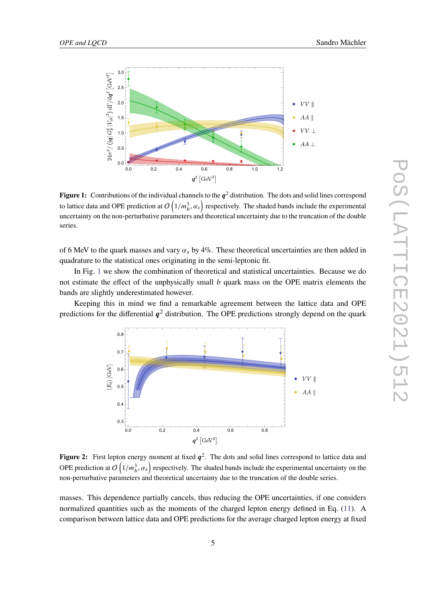<span id="page-4-0"></span>

**Figure 1:** Contributions of the individual channels to the  $q^2$  distribution. The dots and solid lines correspond to lattice data and OPE prediction at  $O\left(1/m_b^3, \alpha_s\right)$  respectively. The shaded bands include the experimental uncertainty on the non-perturbative parameters and theoretical uncertainty due to the truncation of the double series.

of 6 MeV to the quark masses and vary  $\alpha_s$  by 4%. These theoretical uncertainties are then added in quadrature to the statistical ones originating in the semi-leptonic fit.

In Fig. [1](#page-4-0) we show the combination of theoretical and statistical uncertainties. Because we do not estimate the effect of the unphysically small  $b$  quark mass on the OPE matrix elements the bands are slightly underestimated however.

<span id="page-4-1"></span>Keeping this in mind we find a remarkable agreement between the lattice data and OPE predictions for the differential  $q^2$  distribution. The OPE predictions strongly depend on the quark



**Figure 2:** First lepton energy moment at fixed  $q^2$ . The dots and solid lines correspond to lattice data and OPE prediction at  $O(1/m_b^3, \alpha_s)$  respectively. The shaded bands include the experimental uncertainty on the non-perturbative parameters and theoretical uncertainty due to the truncation of the double series.

masses. This dependence partially cancels, thus reducing the OPE uncertainties, if one considers normalized quantities such as the moments of the charged lepton energy defined in Eq. [\(11\)](#page-3-1). A comparison between lattice data and OPE predictions for the average charged lepton energy at fixed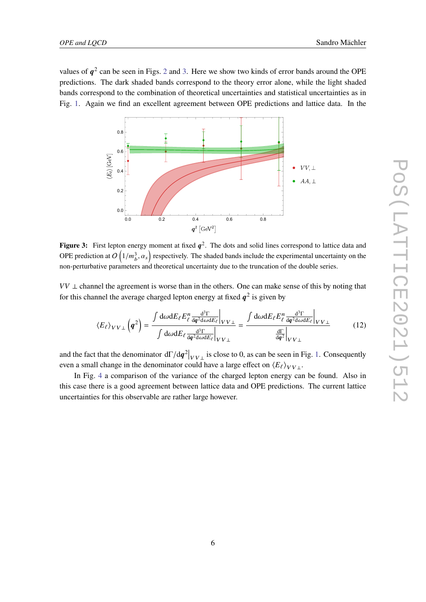values of  $q^2$  $q^2$  can be seen in Figs. 2 and [3.](#page-5-0) Here we show two kinds of error bands around the OPE predictions. The dark shaded bands correspond to the theory error alone, while the light shaded bands correspond to the combination of theoretical uncertainties and statistical uncertainties as in Fig. [1.](#page-4-0) Again we find an excellent agreement between OPE predictions and lattice data. In the

<span id="page-5-0"></span>

**Figure 3:** First lepton energy moment at fixed  $q^2$ . The dots and solid lines correspond to lattice data and OPE prediction at  $O(1/m_b^3, \alpha_s)$  respectively. The shaded bands include the experimental uncertainty on the non-perturbative parameters and theoretical uncertainty due to the truncation of the double series.

 $VV \perp$  channel the agreement is worse than in the others. One can make sense of this by noting that for this channel the average charged lepton energy at fixed  $q^2$  is given by

$$
\langle E_{\ell} \rangle_{VV\perp} \left( \mathbf{q}^2 \right) = \frac{\int d\omega dE_{\ell} E_{\ell}^n \frac{d^3 \Gamma}{dq^2 d\omega dE_{\ell}} \Big|_{VV\perp}}{\int d\omega dE_{\ell} \frac{d^3 \Gamma}{dq^2 d\omega dE_{\ell}} \Big|_{VV\perp}} = \frac{\int d\omega dE_{\ell} E_{\ell}^n \frac{d^3 \Gamma}{dq^2 d\omega dE_{\ell}} \Big|_{VV\perp}}{\frac{d\Gamma}{dq^2} \Big|_{VV\perp}} \tag{12}
$$

and the fact that the denominator  $d\Gamma/dq^2|_{VV\perp}$  is close to 0, as can be seen in Fig. [1.](#page-4-0) Consequently even a small change in the denominator could have a large effect on  $\langle E_{\ell} \rangle_{VV}$ .

In Fig. [4](#page-6-0) a comparison of the variance of the charged lepton energy can be found. Also in this case there is a good agreement between lattice data and OPE predictions. The current lattice uncertainties for this observable are rather large however.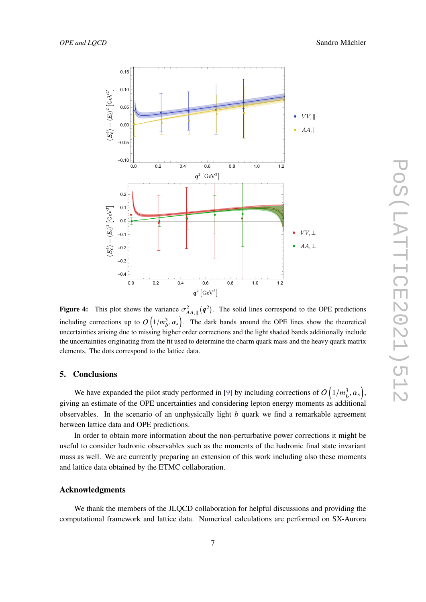<span id="page-6-0"></span>

**Figure 4:** This plot shows the variance  $\sigma_{AA,\parallel}^2(q^2)$ . The solid lines correspond to the OPE predictions including corrections up to  $O(1/m_b^3, \alpha_s)$ . The dark bands around the OPE lines show the theoretical uncertainties arising due to missing higher order corrections and the light shaded bands additionally include the uncertainties originating from the fit used to determine the charm quark mass and the heavy quark matrix elements. The dots correspond to the lattice data.

# **5. Conclusions**

We have expanded the pilot study performed in [\[9\]](#page-7-6) by including corrections of  $O(1/m_b^3, \alpha_s)$ , giving an estimate of the OPE uncertainties and considering lepton energy moments as additional observables. In the scenario of an unphysically light  $b$  quark we find a remarkable agreement between lattice data and OPE predictions.

In order to obtain more information about the non-perturbative power corrections it might be useful to consider hadronic observables such as the moments of the hadronic final state invariant mass as well. We are currently preparing an extension of this work including also these moments and lattice data obtained by the ETMC collaboration.

# **Acknowledgments**

We thank the members of the JLQCD collaboration for helpful discussions and providing the computational framework and lattice data. Numerical calculations are performed on SX-Aurora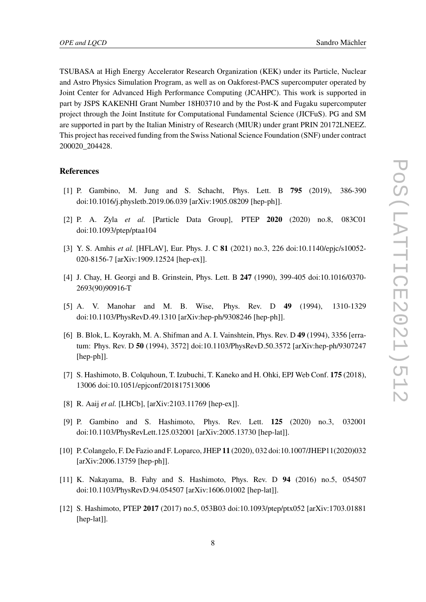TSUBASA at High Energy Accelerator Research Organization (KEK) under its Particle, Nuclear and Astro Physics Simulation Program, as well as on Oakforest-PACS supercomputer operated by Joint Center for Advanced High Performance Computing (JCAHPC). This work is supported in part by JSPS KAKENHI Grant Number 18H03710 and by the Post-K and Fugaku supercomputer project through the Joint Institute for Computational Fundamental Science (JICFuS). PG and SM are supported in part by the Italian Ministry of Research (MIUR) under grant PRIN 20172LNEEZ. This project has received funding from the Swiss National Science Foundation (SNF) under contract 200020\_204428.

### **References**

- <span id="page-7-0"></span>[1] P. Gambino, M. Jung and S. Schacht, Phys. Lett. B **795** (2019), 386-390 doi:10.1016/j.physletb.2019.06.039 [arXiv:1905.08209 [hep-ph]].
- [2] P. A. Zyla *et al.* [Particle Data Group], PTEP **2020** (2020) no.8, 083C01 doi:10.1093/ptep/ptaa104
- <span id="page-7-1"></span>[3] Y. S. Amhis *et al.* [HFLAV], Eur. Phys. J. C **81** (2021) no.3, 226 doi:10.1140/epjc/s10052- 020-8156-7 [arXiv:1909.12524 [hep-ex]].
- <span id="page-7-2"></span>[4] J. Chay, H. Georgi and B. Grinstein, Phys. Lett. B **247** (1990), 399-405 doi:10.1016/0370- 2693(90)90916-T
- <span id="page-7-7"></span>[5] A. V. Manohar and M. B. Wise, Phys. Rev. D **49** (1994), 1310-1329 doi:10.1103/PhysRevD.49.1310 [arXiv:hep-ph/9308246 [hep-ph]].
- <span id="page-7-3"></span>[6] B. Blok, L. Koyrakh, M. A. Shifman and A. I. Vainshtein, Phys. Rev. D **49** (1994), 3356 [erratum: Phys. Rev. D **50** (1994), 3572] doi:10.1103/PhysRevD.50.3572 [arXiv:hep-ph/9307247 [hep-ph]].
- <span id="page-7-4"></span>[7] S. Hashimoto, B. Colquhoun, T. Izubuchi, T. Kaneko and H. Ohki, EPJ Web Conf. **175** (2018), 13006 doi:10.1051/epjconf/201817513006
- <span id="page-7-5"></span>[8] R. Aaij *et al.* [LHCb], [arXiv:2103.11769 [hep-ex]].
- <span id="page-7-6"></span>[9] P. Gambino and S. Hashimoto, Phys. Rev. Lett. **125** (2020) no.3, 032001 doi:10.1103/PhysRevLett.125.032001 [arXiv:2005.13730 [hep-lat]].
- <span id="page-7-8"></span>[10] P. Colangelo, F. De Fazio and F. Loparco, JHEP **11** (2020), 032 doi:10.1007/JHEP11(2020)032 [arXiv:2006.13759 [hep-ph]].
- <span id="page-7-9"></span>[11] K. Nakayama, B. Fahy and S. Hashimoto, Phys. Rev. D **94** (2016) no.5, 054507 doi:10.1103/PhysRevD.94.054507 [arXiv:1606.01002 [hep-lat]].
- <span id="page-7-10"></span>[12] S. Hashimoto, PTEP **2017** (2017) no.5, 053B03 doi:10.1093/ptep/ptx052 [arXiv:1703.01881 [hep-lat]].